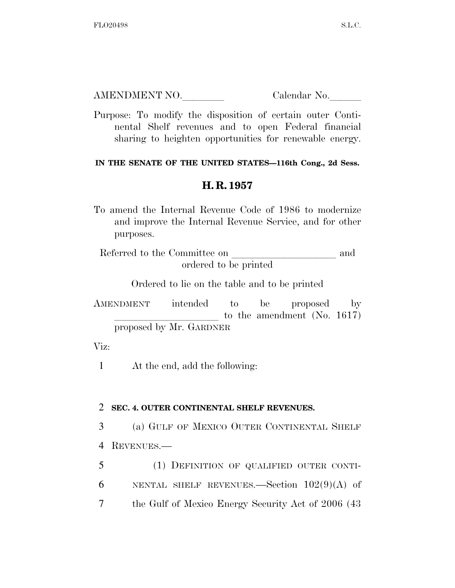| AMENDMENT NO. | Calendar No. |
|---------------|--------------|
|               |              |

Purpose: To modify the disposition of certain outer Continental Shelf revenues and to open Federal financial sharing to heighten opportunities for renewable energy.

## **IN THE SENATE OF THE UNITED STATES—116th Cong., 2d Sess.**

## **H. R. 1957**

To amend the Internal Revenue Code of 1986 to modernize and improve the Internal Revenue Service, and for other purposes.

Referred to the Committee on and ordered to be printed

Ordered to lie on the table and to be printed

AMENDMENT intended to be proposed by to the amendment (No.  $1617$ ) proposed by Mr. GARDNER

Viz:

1 At the end, add the following:

## 2 **SEC. 4. OUTER CONTINENTAL SHELF REVENUES.**

3 (a) GULF OF MEXICO OUTER CONTINENTAL SHELF 4 REVENUES.—

5 (1) DEFINITION OF QUALIFIED OUTER CONTI-6 NENTAL SHELF REVENUES.—Section  $102(9)(A)$  of 7 the Gulf of Mexico Energy Security Act of 2006 (43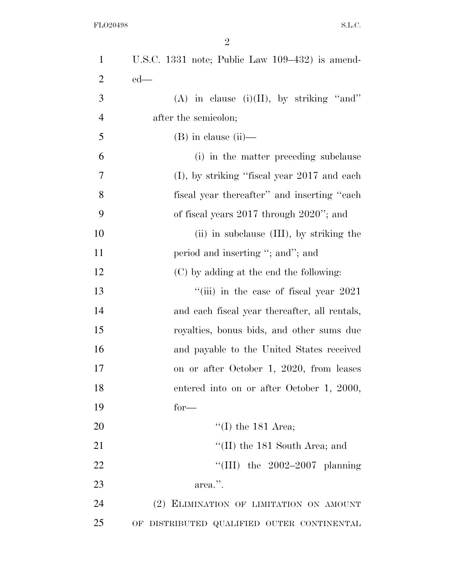| $\mathbf{1}$   | U.S.C. 1331 note; Public Law $109-432$ is amend-         |
|----------------|----------------------------------------------------------|
| $\overline{2}$ | $ed$ —                                                   |
| 3              | (A) in clause (i)(II), by striking "and"                 |
| $\overline{4}$ | after the semicolon;                                     |
| 5              | $(B)$ in clause $(ii)$ —                                 |
| 6              | (i) in the matter preceding subclause                    |
| 7              | $(I)$ , by striking "fiscal year 2017 and each           |
| 8              | fiscal year thereafter" and inserting "each"             |
| 9              | of fiscal years $2017$ through $2020$ "; and             |
| 10             | (ii) in subclause (III), by striking the                 |
| 11             | period and inserting "; and"; and                        |
| 12             | (C) by adding at the end the following:                  |
| 13             | $\lq$ <sup>"</sup> (iii) in the case of fiscal year 2021 |
| 14             | and each fiscal year thereafter, all rentals,            |
| 15             | royalties, bonus bids, and other sums due                |
| 16             | and payable to the United States received                |
| 17             | on or after October 1, 2020, from leases                 |
| 18             | entered into on or after October 1, 2000,                |
| 19             | $for-$                                                   |
| 20             | "(I) the $181$ Area;                                     |
| 21             | "(II) the 181 South Area; and                            |
| 22             | "(III) the $2002-2007$ planning                          |
| 23             | area.".                                                  |
| 24             | (2) ELIMINATION OF LIMITATION ON AMOUNT                  |
| 25             | OF DISTRIBUTED QUALIFIED OUTER CONTINENTAL               |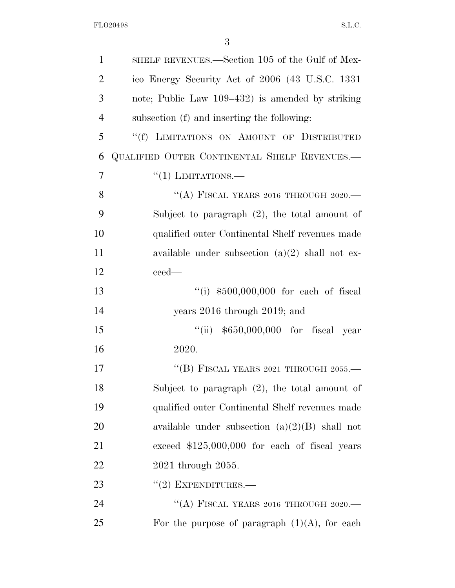| 1              | SHELF REVENUES.—Section 105 of the Gulf of Mex-   |
|----------------|---------------------------------------------------|
| $\overline{2}$ | ico Energy Security Act of 2006 (43 U.S.C. 1331   |
| 3              | note; Public Law 109–432) is amended by striking  |
| $\overline{4}$ | subsection (f) and inserting the following:       |
| 5              | "(f) LIMITATIONS ON AMOUNT OF DISTRIBUTED         |
| 6              | QUALIFIED OUTER CONTINENTAL SHELF REVENUES.-      |
| $\overline{7}$ | $\lq(1)$ LIMITATIONS.—                            |
| 8              | "(A) FISCAL YEARS 2016 THROUGH 2020.—             |
| 9              | Subject to paragraph $(2)$ , the total amount of  |
| 10             | qualified outer Continental Shelf revenues made   |
| 11             | available under subsection $(a)(2)$ shall not ex- |
| 12             | ceed—                                             |
| 13             | "(i) $$500,000,000$ for each of fiscal            |
| 14             | years $2016$ through $2019$ ; and                 |
| 15             | "(ii) $$650,000,000$ for fiscal year              |
| 16             | 2020.                                             |
| 17             | "(B) FISCAL YEARS 2021 THROUGH 2055.—             |
| 18             | Subject to paragraph $(2)$ , the total amount of  |
| 19             | qualified outer Continental Shelf revenues made   |
| 20             | available under subsection $(a)(2)(B)$ shall not  |
| 21             | exceed $$125,000,000$ for each of fiscal years    |
| 22             | 2021 through 2055.                                |
| 23             | $"(2)$ EXPENDITURES.—                             |
| 24             | "(A) FISCAL YEARS 2016 THROUGH 2020.—             |
| 25             | For the purpose of paragraph $(1)(A)$ , for each  |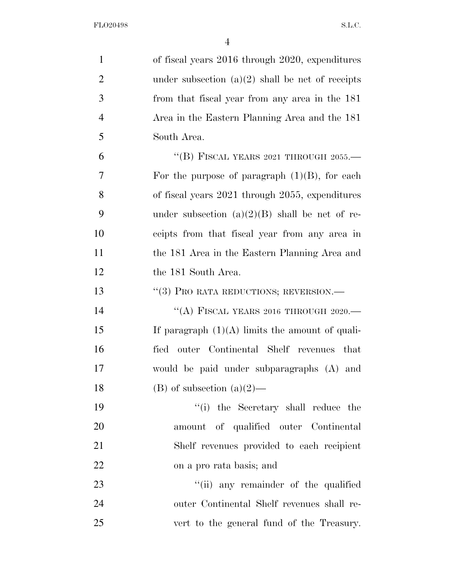| $\mathbf{1}$   | of fiscal years 2016 through 2020, expenditures    |
|----------------|----------------------------------------------------|
| $\overline{2}$ | under subsection $(a)(2)$ shall be net of receipts |
| 3              | from that fiscal year from any area in the 181     |
| $\overline{4}$ | Area in the Eastern Planning Area and the 181      |
| 5              | South Area.                                        |
| 6              | "(B) FISCAL YEARS 2021 THROUGH 2055.—              |
| 7              | For the purpose of paragraph $(1)(B)$ , for each   |
| 8              | of fiscal years 2021 through 2055, expenditures    |
| 9              | under subsection $(a)(2)(B)$ shall be net of re-   |
| 10             | ceipts from that fiscal year from any area in      |
| 11             | the 181 Area in the Eastern Planning Area and      |
| 12             | the 181 South Area.                                |
| 13             | "(3) PRO RATA REDUCTIONS; REVERSION.—              |
| 14             | "(A) FISCAL YEARS 2016 THROUGH 2020.—              |
| 15             | If paragraph $(1)(A)$ limits the amount of quali-  |
| 16             | outer Continental Shelf revenues that<br>fied      |
| 17             | would be paid under subparagraphs (A) and          |
| 18             | $(B)$ of subsection $(a)(2)$ —                     |
| 19             | "(i) the Secretary shall reduce the                |
| 20             | amount of qualified outer Continental              |
| 21             | Shelf revenues provided to each recipient          |
| 22             | on a pro rata basis; and                           |
| 23             | "(ii) any remainder of the qualified               |
| 24             | outer Continental Shelf revenues shall re-         |
| 25             | vert to the general fund of the Treasury.          |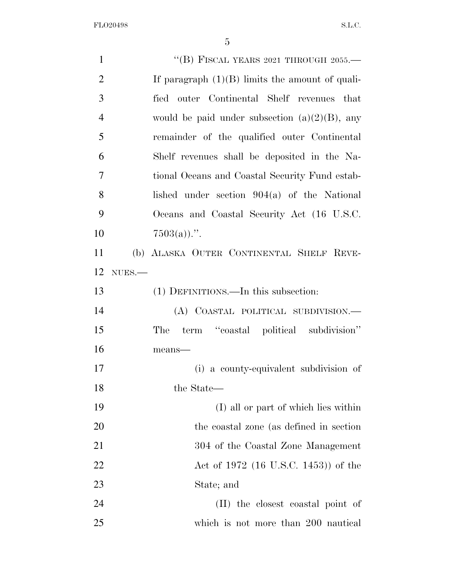| $\mathbf{1}$   | "(B) FISCAL YEARS 2021 THROUGH 2055.—             |
|----------------|---------------------------------------------------|
| $\overline{2}$ | If paragraph $(1)(B)$ limits the amount of quali- |
| 3              | fied outer Continental Shelf revenues that        |
| $\overline{4}$ | would be paid under subsection $(a)(2)(B)$ , any  |
| 5              | remainder of the qualified outer Continental      |
| 6              | Shelf revenues shall be deposited in the Na-      |
| 7              | tional Oceans and Coastal Security Fund estab-    |
| 8              | lished under section $904(a)$ of the National     |
| 9              | Oceans and Coastal Security Act (16 U.S.C.        |
| 10             | $7503(a)$ .".                                     |
| 11             | (b) ALASKA OUTER CONTINENTAL SHELF REVE-          |
| 12             | $NUES$ .                                          |
| 13             | (1) DEFINITIONS.—In this subsection:              |
| 14             | (A) COASTAL POLITICAL SUBDIVISION.-               |
| 15             | term "coastal political subdivision"<br>The       |
| 16             | means-                                            |
| 17             | (i) a county-equivalent subdivision of            |
| 18             | the State—                                        |
| 19             | (I) all or part of which lies within              |
| 20             | the coastal zone (as defined in section)          |
| 21             | 304 of the Coastal Zone Management                |
| 22             | Act of 1972 (16 U.S.C. 1453)) of the              |
| 23             | State; and                                        |
| 24             | (II) the closest coastal point of                 |
| 25             | which is not more than 200 nautical               |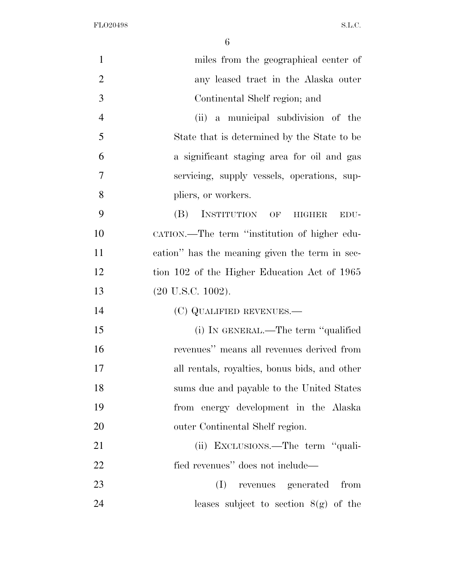| $\mathbf{1}$   | miles from the geographical center of          |
|----------------|------------------------------------------------|
| $\overline{2}$ | any leased tract in the Alaska outer           |
| 3              | Continental Shelf region; and                  |
| $\overline{4}$ | (ii) a municipal subdivision of the            |
| 5              | State that is determined by the State to be    |
| 6              | a significant staging area for oil and gas     |
| 7              | servicing, supply vessels, operations, sup-    |
| 8              | pliers, or workers.                            |
| 9              | INSTITUTION OF HIGHER<br>(B)<br>EDU-           |
| 10             | CATION.—The term "institution of higher edu-   |
| 11             | cation" has the meaning given the term in sec- |
| 12             | tion 102 of the Higher Education Act of 1965   |
| 13             | $(20 \text{ U.S.C. } 1002).$                   |
| 14             | (C) QUALIFIED REVENUES.—                       |
| 15             | (i) IN GENERAL.—The term "qualified            |
| 16             | revenues" means all revenues derived from      |
| 17             | all rentals, royalties, bonus bids, and other  |
| 18             | sums due and payable to the United States      |
| 19             | from energy development in the Alaska          |
| 20             | outer Continental Shelf region.                |
| 21             | (ii) EXCLUSIONS.—The term "quali-              |
| 22             | fied revenues" does not include—               |
| 23             | (I)<br>revenues generated from                 |
| 24             | leases subject to section $8(g)$ of the        |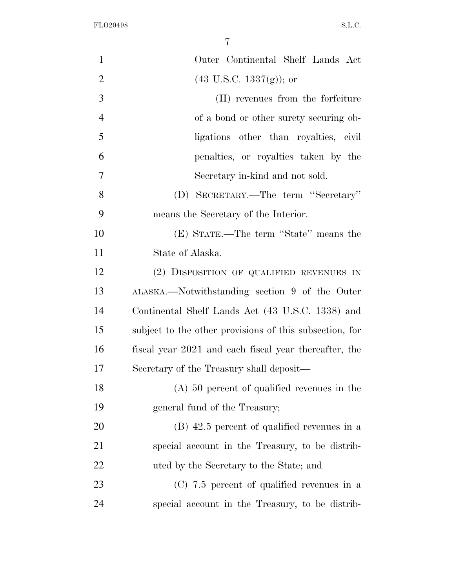| $\mathbf{1}$   | Outer Continental Shelf Lands Act                       |
|----------------|---------------------------------------------------------|
| $\overline{2}$ | $(43 \text{ U.S.C. } 1337(g))$ ; or                     |
| 3              | (II) revenues from the forfeiture                       |
| $\overline{4}$ | of a bond or other surety securing ob-                  |
| 5              | ligations other than royalties, civil                   |
| 6              | penalties, or royalties taken by the                    |
| $\overline{7}$ | Secretary in-kind and not sold.                         |
| 8              | (D) SECRETARY.—The term "Secretary"                     |
| 9              | means the Secretary of the Interior.                    |
| 10             | (E) STATE.—The term "State" means the                   |
| 11             | State of Alaska.                                        |
| 12             | (2) DISPOSITION OF QUALIFIED REVENUES IN                |
| 13             | ALASKA.—Notwithstanding section 9 of the Outer          |
| 14             | Continental Shelf Lands Act (43 U.S.C. 1338) and        |
| 15             | subject to the other provisions of this subsection, for |
| 16             | fiscal year 2021 and each fiscal year thereafter, the   |
| 17             | Secretary of the Treasury shall deposit—                |
| 18             | $(A)$ 50 percent of qualified revenues in the           |
| 19             | general fund of the Treasury;                           |
| 20             | $(B)$ 42.5 percent of qualified revenues in a           |
| 21             | special account in the Treasury, to be distrib-         |
| 22             | uted by the Secretary to the State; and                 |
| 23             | $(C)$ 7.5 percent of qualified revenues in a            |
| 24             | special account in the Treasury, to be distrib-         |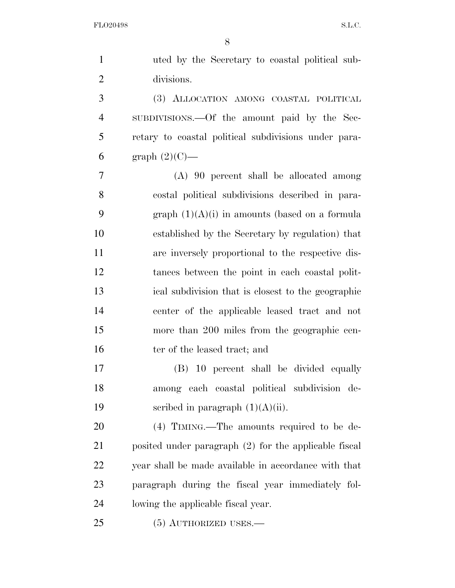| $\mathbf{1}$   | uted by the Secretary to coastal political sub-       |
|----------------|-------------------------------------------------------|
| $\overline{2}$ | divisions.                                            |
| 3              | (3) ALLOCATION AMONG COASTAL POLITICAL                |
| $\overline{4}$ | SUBDIVISIONS.—Of the amount paid by the Sec-          |
| 5              | retary to coastal political subdivisions under para-  |
| 6              | graph $(2)(C)$ —                                      |
| 7              | $(A)$ 90 percent shall be allocated among             |
| 8              | costal political subdivisions described in para-      |
| 9              | graph $(1)(A)(i)$ in amounts (based on a formula      |
| 10             | established by the Secretary by regulation) that      |
| 11             | are inversely proportional to the respective dis-     |
| 12             | tances between the point in each coastal polit-       |
| 13             | ical subdivision that is closest to the geographic    |
| 14             | center of the applicable leased tract and not         |
| 15             | more than 200 miles from the geographic cen-          |
| 16             | ter of the leased tract; and                          |
| 17             | (B) 10 percent shall be divided equally               |
| 18             | among each coastal political subdivision de-          |
| 19             | scribed in paragraph $(1)(A)(ii)$ .                   |
| 20             | $(4)$ TIMING.—The amounts required to be de-          |
| 21             | posited under paragraph (2) for the applicable fiscal |
| 22             | year shall be made available in accordance with that  |
| 23             | paragraph during the fiscal year immediately fol-     |
| 24             | lowing the applicable fiscal year.                    |
| 25             | $(5)$ AUTHORIZED USES.—                               |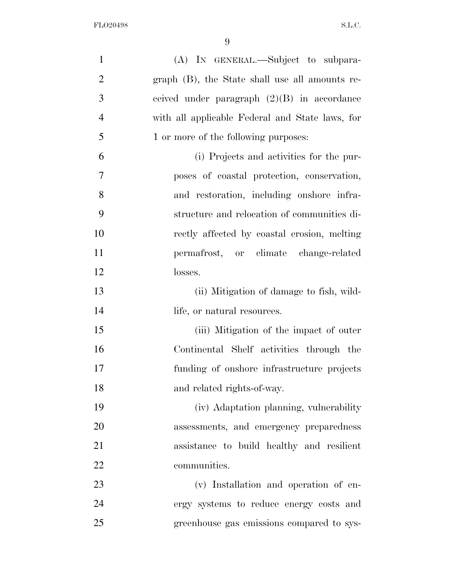| $\mathbf{1}$   | (A) IN GENERAL.—Subject to subpara-             |
|----------------|-------------------------------------------------|
| $\overline{2}$ | graph (B), the State shall use all amounts re-  |
| 3              | ceived under paragraph $(2)(B)$ in accordance   |
| $\overline{4}$ | with all applicable Federal and State laws, for |
| 5              | 1 or more of the following purposes:            |
| 6              | (i) Projects and activities for the pur-        |
| $\tau$         | poses of coastal protection, conservation,      |
| 8              | and restoration, including onshore infra-       |
| 9              | structure and relocation of communities di-     |
| 10             | rectly affected by coastal erosion, melting     |
| 11             | permafrost, or climate change-related           |
| 12             | losses.                                         |
| 13             | (ii) Mitigation of damage to fish, wild-        |
| 14             | life, or natural resources.                     |
| 15             | (iii) Mitigation of the impact of outer         |
| 16             | Continental Shelf activities through the        |
| 17             | funding of onshore infrastructure projects      |
| 18             | and related rights-of-way.                      |
| 19             | (iv) Adaptation planning, vulnerability         |
| 20             | assessments, and emergency preparedness         |
| 21             | assistance to build healthy and resilient       |
| 22             | communities.                                    |
| 23             | (v) Installation and operation of en-           |
| 24             | ergy systems to reduce energy costs and         |
| 25             | greenhouse gas emissions compared to sys-       |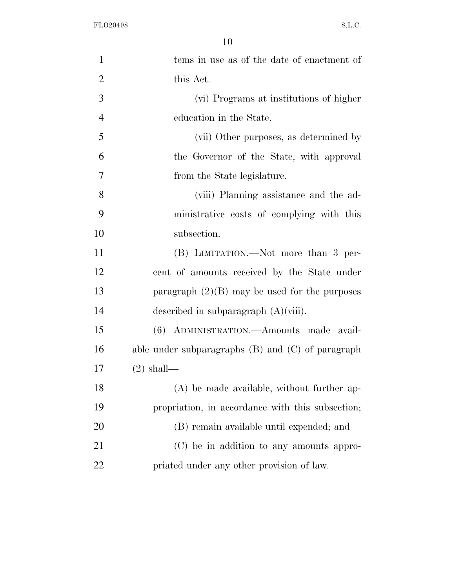| $\mathbf{1}$   | tems in use as of the date of enactment of            |
|----------------|-------------------------------------------------------|
| $\overline{2}$ | this Act.                                             |
| 3              | (vi) Programs at institutions of higher               |
| $\overline{4}$ | education in the State.                               |
| 5              | (vii) Other purposes, as determined by                |
| 6              | the Governor of the State, with approval              |
| 7              | from the State legislature.                           |
| 8              | (viii) Planning assistance and the ad-                |
| 9              | ministrative costs of complying with this             |
| 10             | subsection.                                           |
| 11             | (B) LIMITATION.—Not more than 3 per-                  |
| 12             | cent of amounts received by the State under           |
| 13             | paragraph $(2)(B)$ may be used for the purposes       |
| 14             | described in subparagraph $(A)(viii)$ .               |
| 15             | (6) ADMINISTRATION. - Amounts made avail-             |
| 16             | able under subparagraphs $(B)$ and $(C)$ of paragraph |
| 17             | $(2)$ shall—                                          |
| 18             | (A) be made available, without further ap-            |
| 19             | propriation, in accordance with this subsection;      |
| 20             | (B) remain available until expended; and              |
| 21             | (C) be in addition to any amounts appro-              |
| 22             | priated under any other provision of law.             |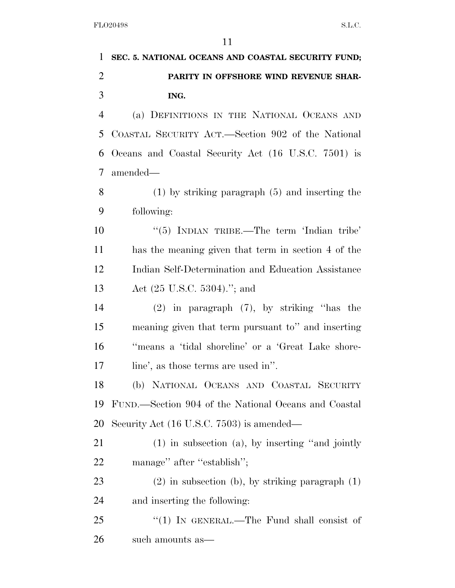|                | $\perp$                                                |
|----------------|--------------------------------------------------------|
| 1              | SEC. 5. NATIONAL OCEANS AND COASTAL SECURITY FUND;     |
| $\overline{2}$ | PARITY IN OFFSHORE WIND REVENUE SHAR-                  |
| 3              | ING.                                                   |
| $\overline{4}$ | (a) DEFINITIONS IN THE NATIONAL OCEANS AND             |
| 5              | COASTAL SECURITY ACT.—Section 902 of the National      |
| 6              | Oceans and Coastal Security Act (16 U.S.C. 7501) is    |
| 7              | amended—                                               |
| 8              | $(1)$ by striking paragraph $(5)$ and inserting the    |
| 9              | following:                                             |
| 10             | " $(5)$ INDIAN TRIBE.—The term 'Indian tribe'          |
| 11             | has the meaning given that term in section 4 of the    |
| 12             | Indian Self-Determination and Education Assistance     |
| 13             | Act $(25 \text{ U.S.C. } 5304)$ ."; and                |
| 14             | $(2)$ in paragraph $(7)$ , by striking "has the        |
| 15             | meaning given that term pursuant to" and inserting     |
| 16             | "means a 'tidal shoreline' or a 'Great Lake shore-     |
| 17             | line', as those terms are used in''.                   |
| 18             | (b) NATIONAL OCEANS AND COASTAL SECURITY               |
| 19             | FUND.—Section 904 of the National Oceans and Coastal   |
| 20             | Security Act (16 U.S.C. 7503) is amended—              |
| 21             | $(1)$ in subsection $(a)$ , by inserting "and jointly" |
| 22             | manage" after "establish";                             |
| 23             | $(2)$ in subsection (b), by striking paragraph $(1)$   |
| 24             | and inserting the following:                           |
| 25             | "(1) IN GENERAL.—The Fund shall consist of             |

such amounts as—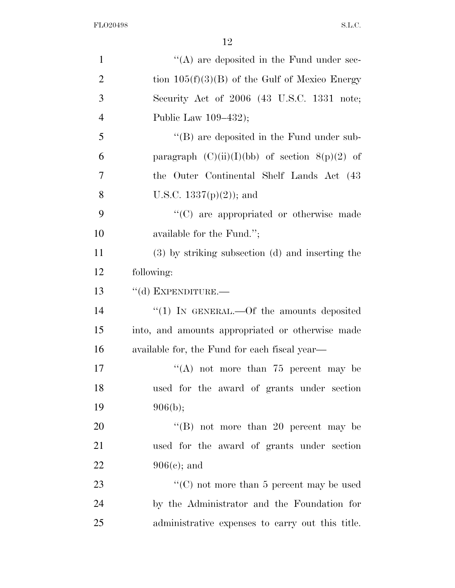| $\mathbf{1}$   | $\lq\lq$ are deposited in the Fund under sec-      |
|----------------|----------------------------------------------------|
| $\overline{2}$ | tion $105(f)(3)(B)$ of the Gulf of Mexico Energy   |
| 3              | Security Act of 2006 (43 U.S.C. 1331 note;         |
| $\overline{4}$ | Public Law 109–432);                               |
| 5              | $\lq\lq (B)$ are deposited in the Fund under sub-  |
| 6              | paragraph $(C)(ii)(I)(bb)$ of section $8(p)(2)$ of |
| 7              | the Outer Continental Shelf Lands Act (43)         |
| 8              | U.S.C. $1337(p)(2)$ ; and                          |
| 9              | "(C) are appropriated or otherwise made            |
| 10             | available for the Fund.";                          |
| 11             | (3) by striking subsection (d) and inserting the   |
| 12             | following:                                         |
| 13             | "(d) EXPENDITURE.-                                 |
| 14             | "(1) IN GENERAL.—Of the amounts deposited          |
| 15             | into, and amounts appropriated or otherwise made   |
| 16             | available for, the Fund for each fiscal year—      |
| 17             | "(A) not more than $75$ percent may be             |
| 18             | used for the award of grants under section         |
| 19             | 906(b);                                            |
| 20             | "(B) not more than 20 percent may be               |
| 21             | used for the award of grants under section         |
| 22             | $906(c)$ ; and                                     |
| 23             | "(C) not more than 5 percent may be used           |
| 24             | by the Administrator and the Foundation for        |
| 25             | administrative expenses to carry out this title.   |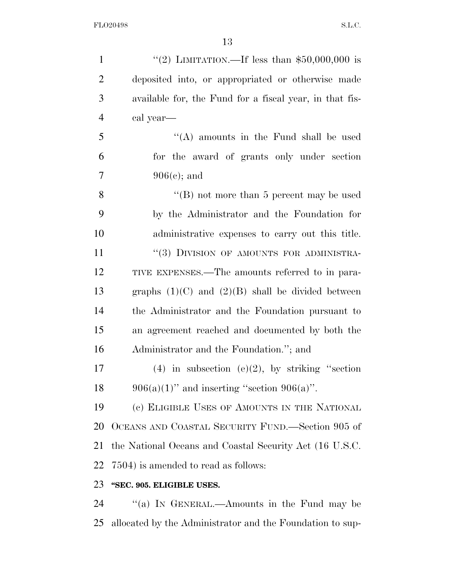| $\mathbf{1}$   | "(2) LIMITATION.—If less than $$50,000,000$ is          |
|----------------|---------------------------------------------------------|
| $\overline{2}$ | deposited into, or appropriated or otherwise made       |
| 3              | available for, the Fund for a fiscal year, in that fis- |
| $\overline{4}$ | cal year-                                               |
| 5              | "(A) amounts in the Fund shall be used                  |
| 6              | for the award of grants only under section              |
| 7              | $906(c)$ ; and                                          |
| 8              | "(B) not more than 5 percent may be used                |
| 9              | by the Administrator and the Foundation for             |
| 10             | administrative expenses to carry out this title.        |
| 11             | "(3) DIVISION OF AMOUNTS FOR ADMINISTRA-                |
| 12             | TIVE EXPENSES.—The amounts referred to in para-         |
| 13             | graphs $(1)(C)$ and $(2)(B)$ shall be divided between   |
| 14             | the Administrator and the Foundation pursuant to        |
| 15             | an agreement reached and documented by both the         |
| 16             | Administrator and the Foundation."; and                 |
| 17             | (4) in subsection (e)(2), by striking "section          |
| 18             | $906(a)(1)$ " and inserting "section $906(a)$ ".        |
| 19             | (c) ELIGIBLE USES OF AMOUNTS IN THE NATIONAL            |
| 20             | OCEANS AND COASTAL SECURITY FUND.—Section 905 of        |
| 21             | the National Oceans and Coastal Security Act (16 U.S.C. |
| 22             | 7504) is amended to read as follows:                    |
| 23             | "SEC. 905. ELIGIBLE USES.                               |
| 24             | "(a) In GENERAL.—Amounts in the Fund may be             |

allocated by the Administrator and the Foundation to sup-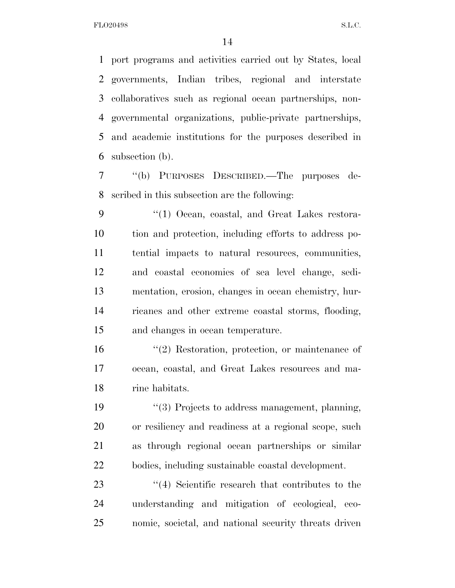port programs and activities carried out by States, local governments, Indian tribes, regional and interstate collaboratives such as regional ocean partnerships, non- governmental organizations, public-private partnerships, and academic institutions for the purposes described in subsection (b).

 ''(b) PURPOSES DESCRIBED.—The purposes de-scribed in this subsection are the following:

9 "(1) Ocean, coastal, and Great Lakes restora- tion and protection, including efforts to address po- tential impacts to natural resources, communities, and coastal economies of sea level change, sedi- mentation, erosion, changes in ocean chemistry, hur- ricanes and other extreme coastal storms, flooding, and changes in ocean temperature.

 ''(2) Restoration, protection, or maintenance of ocean, coastal, and Great Lakes resources and ma-rine habitats.

 ''(3) Projects to address management, planning, or resiliency and readiness at a regional scope, such as through regional ocean partnerships or similar bodies, including sustainable coastal development.

23 ''(4) Scientific research that contributes to the understanding and mitigation of ecological, eco-nomic, societal, and national security threats driven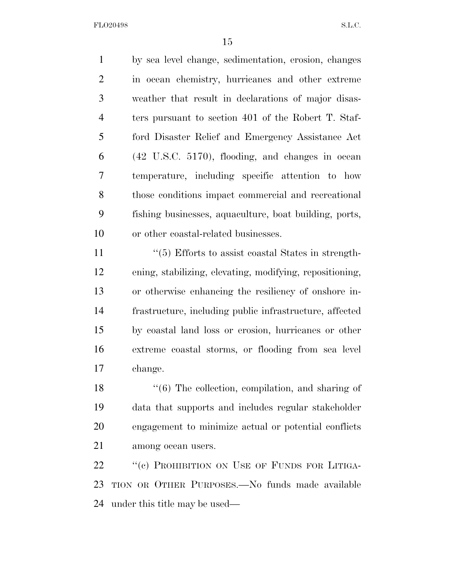by sea level change, sedimentation, erosion, changes in ocean chemistry, hurricanes and other extreme weather that result in declarations of major disas- ters pursuant to section 401 of the Robert T. Staf- ford Disaster Relief and Emergency Assistance Act (42 U.S.C. 5170), flooding, and changes in ocean temperature, including specific attention to how those conditions impact commercial and recreational fishing businesses, aquaculture, boat building, ports, or other coastal-related businesses.

11 ''(5) Efforts to assist coastal States in strength- ening, stabilizing, elevating, modifying, repositioning, or otherwise enhancing the resiliency of onshore in- frastructure, including public infrastructure, affected by coastal land loss or erosion, hurricanes or other extreme coastal storms, or flooding from sea level change.

18 ''(6) The collection, compilation, and sharing of data that supports and includes regular stakeholder engagement to minimize actual or potential conflicts among ocean users.

22 "(c) PROHIBITION ON USE OF FUNDS FOR LITIGA- TION OR OTHER PURPOSES.—No funds made available under this title may be used—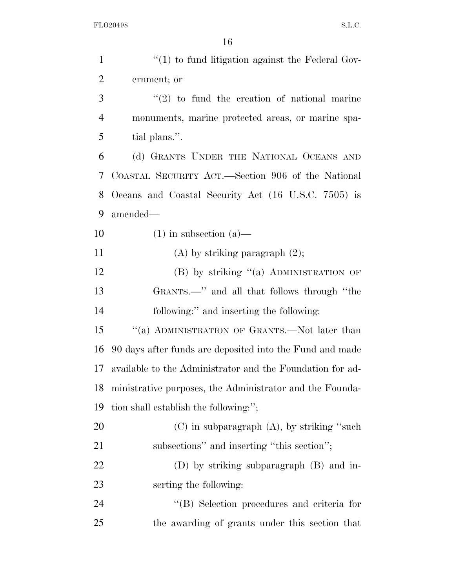| $\mathbf{1}$   | $\lq(1)$ to fund litigation against the Federal Gov-      |
|----------------|-----------------------------------------------------------|
| $\overline{2}$ | ernment; or                                               |
| 3              | $\lq(2)$ to fund the creation of national marine          |
| $\overline{4}$ | monuments, marine protected areas, or marine spa-         |
| 5              | tial plans.".                                             |
| 6              | (d) GRANTS UNDER THE NATIONAL OCEANS AND                  |
| 7              | COASTAL SECURITY ACT.—Section 906 of the National         |
| 8              | Oceans and Coastal Security Act (16 U.S.C. 7505) is       |
| 9              | amended—                                                  |
| 10             | $(1)$ in subsection $(a)$ —                               |
| 11             | $(A)$ by striking paragraph $(2)$ ;                       |
| 12             | (B) by striking "(a) ADMINISTRATION OF                    |
| 13             | GRANTS.—" and all that follows through "the               |
| 14             | following:" and inserting the following:                  |
| 15             | "(a) ADMINISTRATION OF GRANTS.—Not later than             |
| 16             | 90 days after funds are deposited into the Fund and made  |
| 17             | available to the Administrator and the Foundation for ad- |
| 18             | ministrative purposes, the Administrator and the Founda-  |
| 19             | tion shall establish the following:";                     |
| 20             | $(C)$ in subparagraph $(A)$ , by striking "such           |
| 21             | subsections" and inserting "this section";                |
| 22             | (D) by striking subparagraph (B) and in-                  |
| 23             | serting the following:                                    |
| 24             | "(B) Selection procedures and criteria for                |
| 25             | the awarding of grants under this section that            |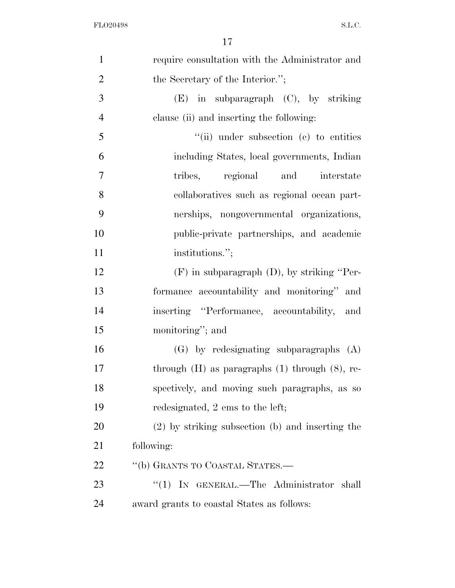| $\mathbf{1}$   | require consultation with the Administrator and       |
|----------------|-------------------------------------------------------|
| $\overline{2}$ | the Secretary of the Interior.";                      |
| 3              | $(E)$ in subparagraph $(C)$ , by striking             |
| $\overline{4}$ | clause (ii) and inserting the following:              |
| 5              | $``$ (ii) under subsection (c) to entities            |
| 6              | including States, local governments, Indian           |
| $\overline{7}$ | tribes, regional and interstate                       |
| 8              | collaboratives such as regional ocean part-           |
| 9              | nerships, nongovernmental organizations,              |
| 10             | public-private partnerships, and academic             |
| 11             | institutions.";                                       |
| 12             | $(F)$ in subparagraph $(D)$ , by striking "Per-       |
| 13             | formance accountability and monitoring" and           |
| 14             | inserting "Performance, accountability, and           |
| 15             | monitoring"; and                                      |
| 16             | $(G)$ by redesignating subparagraphs $(A)$            |
| 17             | through $(H)$ as paragraphs $(1)$ through $(8)$ , re- |
| 18             | spectively, and moving such paragraphs, as so         |
| 19             | redesignated, 2 ems to the left;                      |
| 20             | (2) by striking subsection (b) and inserting the      |
| 21             | following:                                            |
| 22             | "(b) GRANTS TO COASTAL STATES.—                       |
| 23             | "(1) IN GENERAL.—The Administrator shall              |
| 24             | award grants to coastal States as follows:            |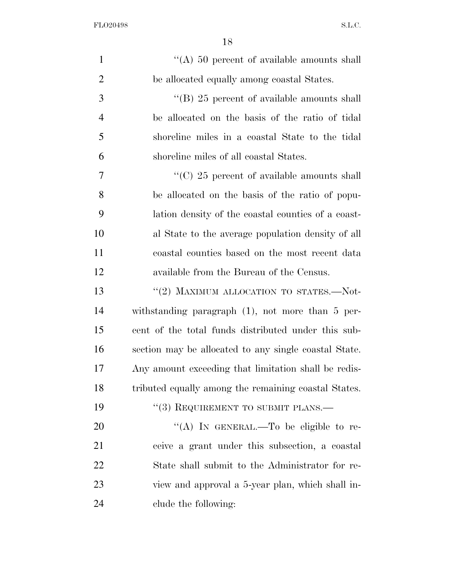| $\mathbf{1}$   | "(A) 50 percent of available amounts shall            |
|----------------|-------------------------------------------------------|
| $\overline{2}$ | be allocated equally among coastal States.            |
| 3              | "(B) $25$ percent of available amounts shall          |
| $\overline{4}$ | be allocated on the basis of the ratio of tidal       |
| 5              | shoreline miles in a coastal State to the tidal       |
| 6              | shoreline miles of all coastal States.                |
| 7              | "(C) 25 percent of available amounts shall            |
| 8              | be allocated on the basis of the ratio of popu-       |
| 9              | lation density of the coastal counties of a coast-    |
| 10             | al State to the average population density of all     |
| 11             | coastal counties based on the most recent data        |
| 12             | available from the Bureau of the Census.              |
| 13             | "(2) MAXIMUM ALLOCATION TO STATES.-Not-               |
| 14             | withstanding paragraph $(1)$ , not more than 5 per-   |
| 15             | cent of the total funds distributed under this sub-   |
| 16             | section may be allocated to any single coastal State. |
| 17             | Any amount exceeding that limitation shall be redis-  |
| 18             | tributed equally among the remaining coastal States.  |
| 19             | "(3) REQUIREMENT TO SUBMIT PLANS.—                    |
| 20             | "(A) IN GENERAL.—To be eligible to re-                |
| 21             | ceive a grant under this subsection, a coastal        |
| 22             | State shall submit to the Administrator for re-       |
| 23             | view and approval a 5-year plan, which shall in-      |
| 24             | clude the following:                                  |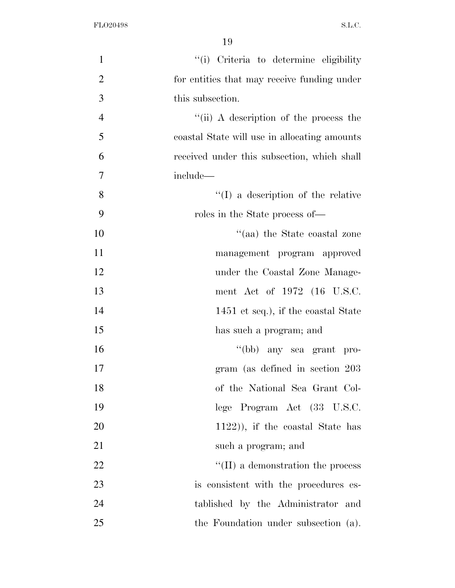| $\mathbf{1}$   | "(i) Criteria to determine eligibility       |
|----------------|----------------------------------------------|
| $\overline{2}$ | for entities that may receive funding under  |
| 3              | this subsection.                             |
| $\overline{4}$ | "(ii) A description of the process the       |
| 5              | coastal State will use in allocating amounts |
| 6              | received under this subsection, which shall  |
| $\overline{7}$ | include-                                     |
| 8              | $\lq\lq$ (I) a description of the relative   |
| 9              | roles in the State process of—               |
| 10             | "(aa) the State coastal zone                 |
| 11             | management program approved                  |
| 12             | under the Coastal Zone Manage-               |
| 13             | ment Act of 1972 (16 U.S.C.                  |
| 14             | 1451 et seq.), if the coastal State          |
| 15             | has such a program; and                      |
| 16             | "(bb) any sea grant pro-                     |
| 17             | gram (as defined in section 203)             |
| 18             | of the National Sea Grant Col-               |
| 19             | lege Program Act (33 U.S.C.                  |
| 20             | $(1122)$ , if the coastal State has          |
| 21             | such a program; and                          |
| 22             | $\lq\lq$ (II) a demonstration the process    |
| 23             | is consistent with the procedures es-        |
| 24             | tablished by the Administrator and           |
| 25             | the Foundation under subsection (a).         |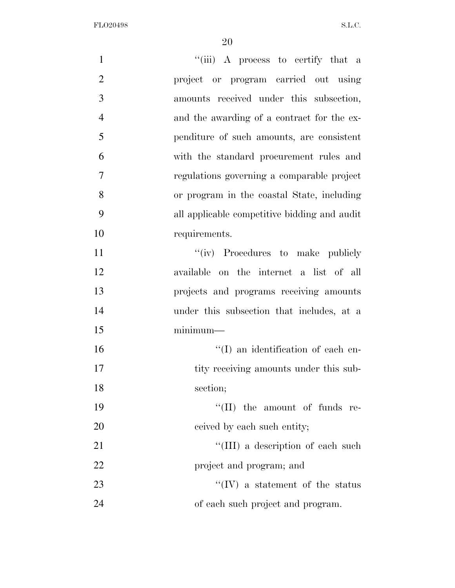| $\mathbf{1}$   | "(iii) A process to certify that a           |
|----------------|----------------------------------------------|
| $\overline{2}$ | project or program carried out using         |
| 3              | amounts received under this subsection,      |
| $\overline{4}$ | and the awarding of a contract for the ex-   |
| 5              | penditure of such amounts, are consistent    |
| 6              | with the standard procurement rules and      |
| $\overline{7}$ | regulations governing a comparable project   |
| 8              | or program in the coastal State, including   |
| 9              | all applicable competitive bidding and audit |
| 10             | requirements.                                |
| 11             | "(iv) Procedures to make publicly            |
| 12             | available on the internet a list of all      |
| 13             | projects and programs receiving amounts      |
| 14             | under this subsection that includes, at a    |
| 15             | $minimum-$                                   |
| 16             | $\lq\lq$ (I) an identification of each en-   |
| 17             | tity receiving amounts under this sub-       |
| 18             | section;                                     |
| 19             | $\lq\lq$ (II) the amount of funds re-        |
| 20             | ceived by each such entity;                  |
| 21             | "(III) a description of each such            |
| 22             | project and program; and                     |
| 23             | $\lq\lq$ (IV) a statement of the status      |
| 24             | of each such project and program.            |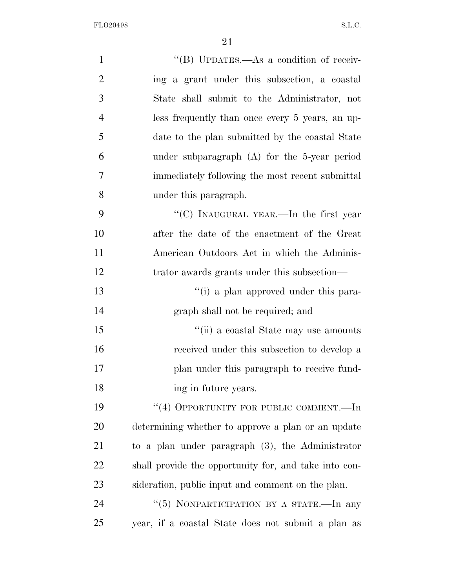| $\mathbf{1}$   | "(B) UPDATES.—As a condition of receiv-               |
|----------------|-------------------------------------------------------|
| $\overline{2}$ | ing a grant under this subsection, a coastal          |
| 3              | State shall submit to the Administrator, not          |
| $\overline{4}$ | less frequently than once every 5 years, an up-       |
| 5              | date to the plan submitted by the coastal State       |
| 6              | under subparagraph $(A)$ for the 5-year period        |
| $\overline{7}$ | immediately following the most recent submittal       |
| 8              | under this paragraph.                                 |
| 9              | "(C) INAUGURAL YEAR.—In the first year                |
| 10             | after the date of the enactment of the Great          |
| 11             | American Outdoors Act in which the Adminis-           |
| 12             | trator awards grants under this subsection—           |
| 13             | "(i) a plan approved under this para-                 |
| 14             | graph shall not be required; and                      |
| 15             | "(ii) a coastal State may use amounts                 |
| 16             | received under this subsection to develop a           |
| 17             | plan under this paragraph to receive fund-            |
| 18             | ing in future years.                                  |
| 19             | "(4) OPPORTUNITY FOR PUBLIC COMMENT.—In               |
| 20             | determining whether to approve a plan or an update    |
| 21             | to a plan under paragraph $(3)$ , the Administrator   |
| 22             | shall provide the opportunity for, and take into con- |
| 23             | sideration, public input and comment on the plan.     |
| 24             | "(5) NONPARTICIPATION BY A STATE.—In any              |
| 25             | year, if a coastal State does not submit a plan as    |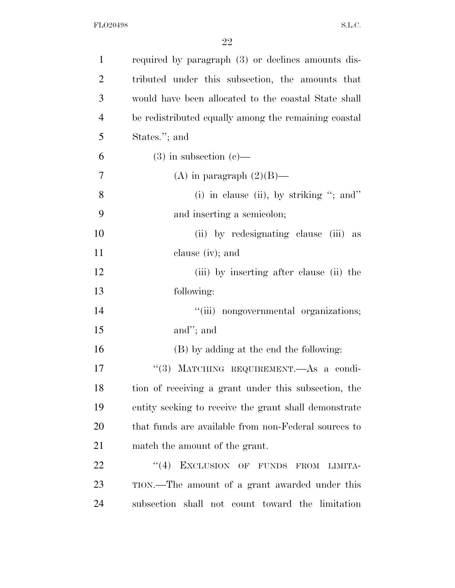| $\mathbf{1}$   | required by paragraph (3) or declines amounts dis-    |
|----------------|-------------------------------------------------------|
| $\overline{2}$ | tributed under this subsection, the amounts that      |
| 3              | would have been allocated to the coastal State shall  |
| $\overline{4}$ | be redistributed equally among the remaining coastal  |
| 5              | States."; and                                         |
| 6              | $(3)$ in subsection $(e)$ —                           |
| 7              | (A) in paragraph $(2)(B)$ —                           |
| 8              | (i) in clause (ii), by striking "; and"               |
| 9              | and inserting a semicolon;                            |
| 10             | (ii) by redesignating clause (iii) as                 |
| 11             | clause (iv); and                                      |
| 12             | (iii) by inserting after clause (ii) the              |
| 13             | following:                                            |
| 14             | "(iii) nongovernmental organizations;                 |
| 15             | and"; and                                             |
| 16             | (B) by adding at the end the following:               |
| 17             | "(3) MATCHING REQUIREMENT. As a condi-                |
| 18             | tion of receiving a grant under this subsection, the  |
| 19             | entity seeking to receive the grant shall demonstrate |
| 20             | that funds are available from non-Federal sources to  |
| 21             | match the amount of the grant.                        |
| 22             | EXCLUSION OF FUNDS FROM<br>(4)<br>LIMITA-             |
| 23             | TION.—The amount of a grant awarded under this        |
| 24             | subsection shall not count toward the limitation      |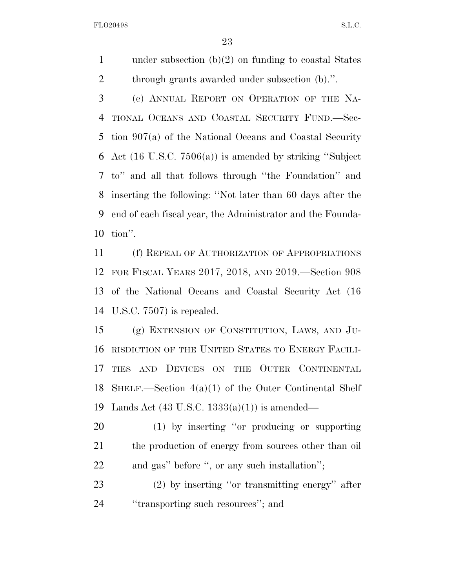1 under subsection  $(b)(2)$  on funding to coastal States through grants awarded under subsection (b).''.

 (e) ANNUAL REPORT ON OPERATION OF THE NA- TIONAL OCEANS AND COASTAL SECURITY FUND.—Sec- tion 907(a) of the National Oceans and Coastal Security Act (16 U.S.C. 7506(a)) is amended by striking ''Subject to'' and all that follows through ''the Foundation'' and inserting the following: ''Not later than 60 days after the end of each fiscal year, the Administrator and the Founda-tion''.

 (f) REPEAL OF AUTHORIZATION OF APPROPRIATIONS FOR FISCAL YEARS 2017, 2018, AND 2019.—Section 908 of the National Oceans and Coastal Security Act (16 U.S.C. 7507) is repealed.

 (g) EXTENSION OF CONSTITUTION, LAWS, AND JU- RISDICTION OF THE UNITED STATES TO ENERGY FACILI-17 TIES AND DEVICES ON THE OUTER CONTINENTAL SHELF.—Section 4(a)(1) of the Outer Continental Shelf Lands Act (43 U.S.C. 1333(a)(1)) is amended—

 (1) by inserting ''or producing or supporting 21 the production of energy from sources other than oil and gas'' before '', or any such installation'';

 (2) by inserting ''or transmitting energy'' after ''transporting such resources''; and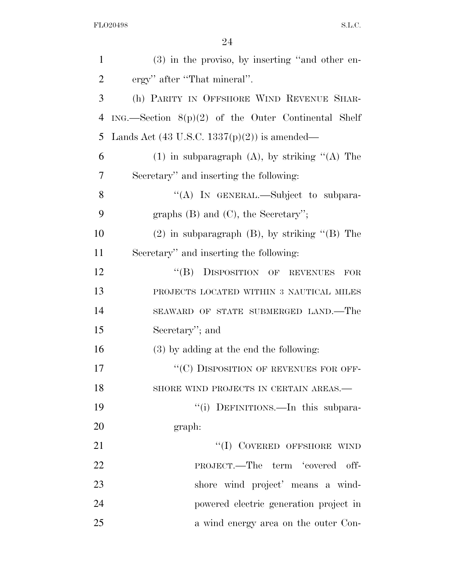| $\mathbf{1}$   | $(3)$ in the proviso, by inserting "and other en-       |
|----------------|---------------------------------------------------------|
| $\overline{2}$ | ergy" after "That mineral".                             |
| 3              | (h) PARITY IN OFFSHORE WIND REVENUE SHAR-               |
| $\overline{4}$ | $ING.$ Section $8(p)(2)$ of the Outer Continental Shelf |
| 5              | Lands Act $(43 \text{ U.S.C. } 1337(p)(2))$ is amended— |
| 6              | $(1)$ in subparagraph $(A)$ , by striking " $(A)$ The   |
| 7              | Secretary" and inserting the following:                 |
| 8              | "(A) IN GENERAL.—Subject to subpara-                    |
| 9              | graphs $(B)$ and $(C)$ , the Secretary'';               |
| 10             | $(2)$ in subparagraph $(B)$ , by striking " $(B)$ The   |
| 11             | Secretary" and inserting the following:                 |
| 12             | "(B) DISPOSITION OF REVENUES<br>FOR                     |
| 13             | PROJECTS LOCATED WITHIN 3 NAUTICAL MILES                |
| 14             | SEAWARD OF STATE SUBMERGED LAND.—The                    |
| 15             | Secretary"; and                                         |
| 16             | (3) by adding at the end the following:                 |
| 17             | "(C) DISPOSITION OF REVENUES FOR OFF-                   |
| 18             | SHORE WIND PROJECTS IN CERTAIN AREAS.-                  |
| 19             | "(i) DEFINITIONS.—In this subpara-                      |
| 20             | graph:                                                  |
| 21             | "(I) COVERED OFFSHORE WIND                              |
| 22             | PROJECT.—The term 'covered off-                         |
| 23             | shore wind project' means a wind-                       |
| 24             | powered electric generation project in                  |
| 25             | a wind energy area on the outer Con-                    |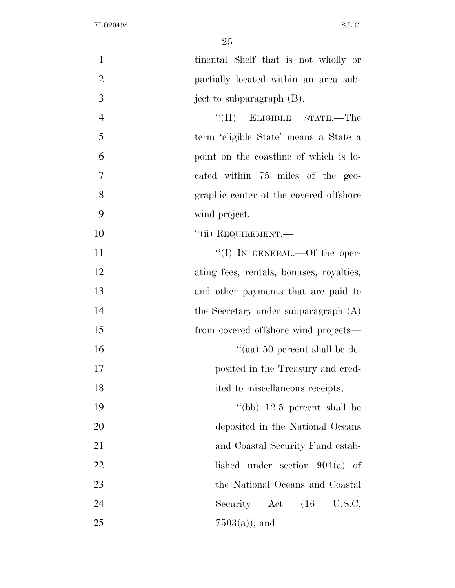| $\mathbf{1}$   | tinental Shelf that is not wholly or     |
|----------------|------------------------------------------|
| $\overline{2}$ | partially located within an area sub-    |
| 3              | ject to subparagraph (B).                |
| $\overline{4}$ | ``(II)<br>ELIGIBLE STATE.—The            |
| 5              | term 'eligible State' means a State a    |
| 6              | point on the coastline of which is lo-   |
| 7              | cated within 75 miles of the geo-        |
| 8              | graphic center of the covered offshore   |
| 9              | wind project.                            |
| 10             | "(ii) REQUIREMENT.—                      |
| 11             | "(I) IN GENERAL.—Of the oper-            |
| 12             | ating fees, rentals, bonuses, royalties, |
| 13             | and other payments that are paid to      |
| 14             | the Secretary under subparagraph $(A)$   |
| 15             | from covered offshore wind projects—     |
| 16             | "(aa) $50$ percent shall be de-          |
| 17             | posited in the Treasury and cred-        |
| 18             | ited to miscellaneous receipts;          |
| 19             | "(bb) $12.5$ percent shall be            |
| 20             | deposited in the National Oceans         |
| 21             | and Coastal Security Fund estab-         |
| 22             | lished under section $904(a)$ of         |
| 23             | the National Oceans and Coastal          |
| 24             | Security Act (16 U.S.C.                  |
| 25             | $7503(a)$ ; and                          |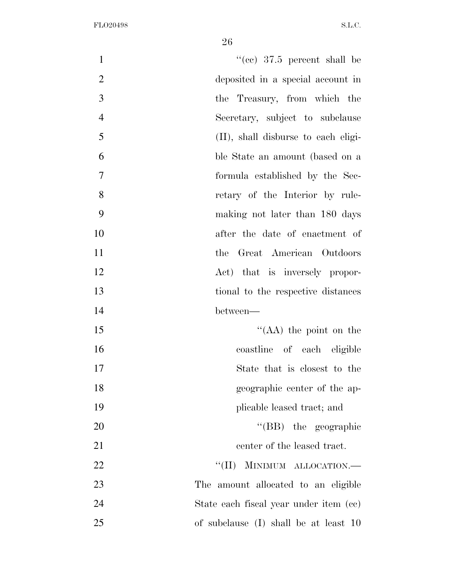| "(cc) $37.5$ percent shall be<br>$\mathbf{1}$     |
|---------------------------------------------------|
| $\mathbf{2}$<br>deposited in a special account in |
| $\overline{3}$<br>the Treasury, from which the    |
| $\overline{4}$<br>Secretary, subject to subclause |
| 5<br>(II), shall disburse to each eligi-          |
| 6<br>ble State an amount (based on a              |
| $\tau$<br>formula established by the Sec-         |
| 8<br>retary of the Interior by rule-              |
| 9<br>making not later than 180 days               |
| 10<br>after the date of enactment of              |
| 11<br>the Great American Outdoors                 |
| 12<br>Act) that is inversely propor-              |
| 13<br>tional to the respective distances          |
| 14<br>between—                                    |
| 15<br>"(AA) the point on the                      |
| 16<br>coastline of each eligible                  |
| 17<br>State that is closest to the                |
| 18<br>geographic center of the ap-                |
| 19<br>plicable leased tract; and                  |
| "(BB) the geographic<br>20                        |
| 21<br>center of the leased tract.                 |
| MINIMUM ALLOCATION.-<br>22<br>``(II)              |
| 23<br>The amount allocated to an eligible         |
| 24<br>State each fiscal year under item (cc)      |
| 25<br>of subclause (I) shall be at least 10       |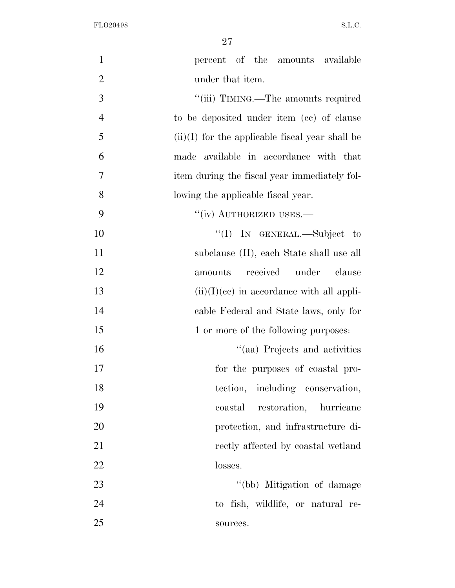| $\mathbf{1}$   | percent of the amounts available                  |
|----------------|---------------------------------------------------|
| $\overline{2}$ | under that item.                                  |
| 3              | "(iii) TIMING.—The amounts required               |
| $\overline{4}$ | to be deposited under item (cc) of clause         |
| 5              | $(ii)(I)$ for the applicable fiscal year shall be |
| 6              | made available in accordance with that            |
| 7              | item during the fiscal year immediately fol-      |
| 8              | lowing the applicable fiscal year.                |
| 9              | "(iv) AUTHORIZED USES.—                           |
| 10             | "(I) IN GENERAL.—Subject to                       |
| 11             | subclause (II), each State shall use all          |
| 12             | received under<br>amounts<br>clause               |
| 13             | $(ii)(I)(ce)$ in accordance with all appli-       |
| 14             | cable Federal and State laws, only for            |
| 15             | 1 or more of the following purposes:              |
| 16             | "(aa) Projects and activities                     |
| 17             | for the purposes of coastal pro-                  |
| 18             | tection, including conservation,                  |
| 19             | restoration, hurricane<br>coastal                 |
| 20             | protection, and infrastructure di-                |
| 21             | rectly affected by coastal wetland                |
| 22             | losses.                                           |
| 23             | "(bb) Mitigation of damage                        |
| 24             | to fish, wildlife, or natural re-                 |
| 25             | sources.                                          |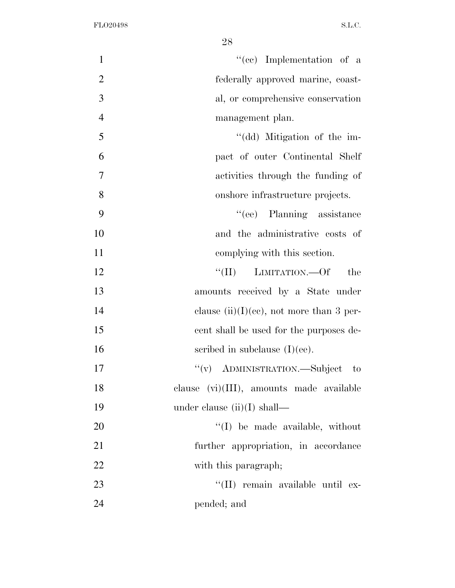| $\mathbf{1}$   | "(cc) Implementation of a                   |
|----------------|---------------------------------------------|
| $\overline{2}$ | federally approved marine, coast-           |
| 3              | al, or comprehensive conservation           |
| $\overline{4}$ | management plan.                            |
| 5              | "(dd) Mitigation of the im-                 |
| 6              | pact of outer Continental Shelf             |
| $\overline{7}$ | activities through the funding of           |
| 8              | onshore infrastructure projects.            |
| 9              | "(ee) Planning assistance                   |
| 10             | and the administrative costs of             |
| 11             | complying with this section.                |
| 12             | "(II) LIMITATION.—Of<br>the                 |
| 13             | amounts received by a State under           |
| 14             | clause $(ii)(I)(ce)$ , not more than 3 per- |
| 15             | cent shall be used for the purposes de-     |
| 16             | scribed in subclause $(I)(ee)$ .            |
| 17             | "(v) ADMINISTRATION.—Subject to             |
| 18             | clause $(vi)(III)$ , amounts made available |
| 19             | under clause $(ii)(I)$ shall—               |
| 20             | "(I) be made available, without             |
| 21             | further appropriation, in accordance        |
| 22             | with this paragraph;                        |
| 23             | "(II) remain available until ex-            |
| 24             | pended; and                                 |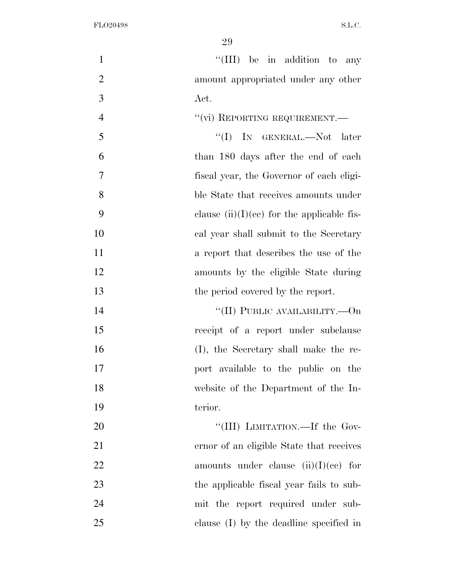| 1              | "(III) be in addition to any                 |
|----------------|----------------------------------------------|
| $\overline{2}$ | amount appropriated under any other          |
| 3              | Act.                                         |
| $\overline{4}$ | "(vi) REPORTING REQUIREMENT.-                |
| 5              | "(I) IN GENERAL.—Not later                   |
| 6              | than 180 days after the end of each          |
| 7              | fiscal year, the Governor of each eligi-     |
| 8              | ble State that receives amounts under        |
| 9              | clause $(ii)(I)(ce)$ for the applicable fis- |
| 10             | cal year shall submit to the Secretary       |
| 11             | a report that describes the use of the       |
| 12             | amounts by the eligible State during         |
| 13             | the period covered by the report.            |
| 14             | "(II) PUBLIC AVAILABILITY.— $On$             |
| 15             | receipt of a report under subclause          |
| 16             | (I), the Secretary shall make the re-        |
| 17             | port available to the public on the          |
| 18             | website of the Department of the In-         |
| 19             | terior.                                      |
| 20             | "(III) LIMITATION.—If the Gov-               |
| 21             | ernor of an eligible State that receives     |
| <u>22</u>      | amounts under clause $(ii)(I)(ce)$ for       |
| 23             | the applicable fiscal year fails to sub-     |
| 24             | mit the report required under sub-           |
| 25             | clause (I) by the deadline specified in      |